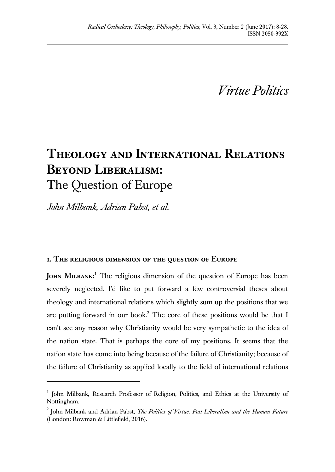*Virtue Politics*

# **Theology and International Relations Beyond Liberalism:** The Question of Europe

*John Milbank, Adrian Pabst, et al.*

 $\overline{a}$ 

## **1. The religious dimension of the question of Europe**

**JOHN MILBANK:**<sup>1</sup> The religious dimension of the question of Europe has been severely neglected. I'd like to put forward a few controversial theses about theology and international relations which slightly sum up the positions that we are putting forward in our book.<sup>2</sup> The core of these positions would be that I can't see any reason why Christianity would be very sympathetic to the idea of the nation state. That is perhaps the core of my positions. It seems that the nation state has come into being because of the failure of Christianity; because of the failure of Christianity as applied locally to the field of international relations

<sup>&</sup>lt;sup>1</sup> John Milbank, Research Professor of Religion, Politics, and Ethics at the University of Nottingham.

<sup>2</sup> John Milbank and Adrian Pabst, *The Politics of Virtue: Post-Liberalism and the Human Future*  (London: Rowman & Littlefield, 2016).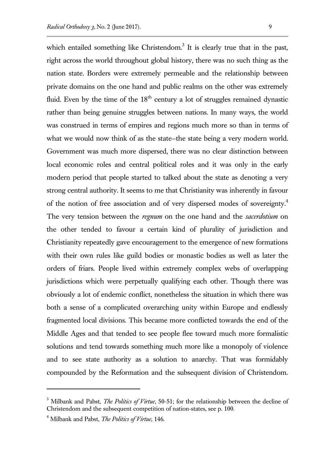which entailed something like Christendom. $3$  It is clearly true that in the past, right across the world throughout global history, there was no such thing as the nation state. Borders were extremely permeable and the relationship between private domains on the one hand and public realms on the other was extremely fluid. Even by the time of the  $18<sup>th</sup>$  century a lot of struggles remained dynastic rather than being genuine struggles between nations. In many ways, the world was construed in terms of empires and regions much more so than in terms of what we would now think of as the state—the state being a very modern world. Government was much more dispersed, there was no clear distinction between local economic roles and central political roles and it was only in the early modern period that people started to talked about the state as denoting a very strong central authority. It seems to me that Christianity was inherently in favour of the notion of free association and of very dispersed modes of sovereignty.<sup>4</sup> The very tension between the *regnum* on the one hand and the *sacerdotium* on the other tended to favour a certain kind of plurality of jurisdiction and Christianity repeatedly gave encouragement to the emergence of new formations with their own rules like guild bodies or monastic bodies as well as later the orders of friars. People lived within extremely complex webs of overlapping jurisdictions which were perpetually qualifying each other. Though there was obviously a lot of endemic conflict, nonetheless the situation in which there was both a sense of a complicated overarching unity within Europe and endlessly fragmented local divisions. This became more conflicted towards the end of the Middle Ages and that tended to see people flee toward much more formalistic solutions and tend towards something much more like a monopoly of violence and to see state authority as a solution to anarchy. That was formidably compounded by the Reformation and the subsequent division of Christendom.

<sup>3</sup> Milbank and Pabst, *The Politics of Virtue*, 50-51; for the relationship between the decline of Christendom and the subsequent competition of nation-states, see p. 100.

<sup>4</sup> Milbank and Pabst, *The Politics of Virtue*, 146.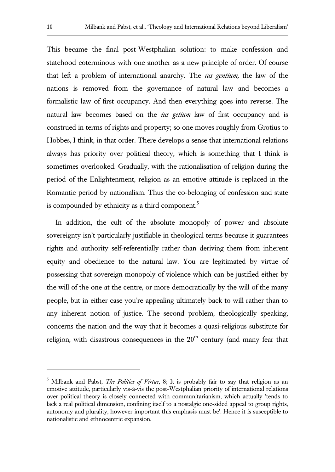This became the final post-Westphalian solution: to make confession and statehood coterminous with one another as a new principle of order. Of course that left a problem of international anarchy. The *ius gentium,* the law of the nations is removed from the governance of natural law and becomes a formalistic law of first occupancy. And then everything goes into reverse. The natural law becomes based on the *ius getium* law of first occupancy and is construed in terms of rights and property; so one moves roughly from Grotius to Hobbes, I think, in that order. There develops a sense that international relations always has priority over political theory, which is something that I think is sometimes overlooked. Gradually, with the rationalisation of religion during the period of the Enlightenment, religion as an emotive attitude is replaced in the Romantic period by nationalism. Thus the co-belonging of confession and state is compounded by ethnicity as a third component. $5$ 

In addition, the cult of the absolute monopoly of power and absolute sovereignty isn't particularly justifiable in theological terms because it guarantees rights and authority self-referentially rather than deriving them from inherent equity and obedience to the natural law. You are legitimated by virtue of possessing that sovereign monopoly of violence which can be justified either by the will of the one at the centre, or more democratically by the will of the many people, but in either case you're appealing ultimately back to will rather than to any inherent notion of justice. The second problem, theologically speaking, concerns the nation and the way that it becomes a quasi-religious substitute for religion, with disastrous consequences in the  $20<sup>th</sup>$  century (and many fear that

<sup>5</sup> Milbank and Pabst, *The Politics of Virtue*, 8; It is probably fair to say that religion as an emotive attitude, particularly vis-à-vis the post-Westphalian priority of international relations over political theory is closely connected with communitarianism, which actually 'tends to lack a real political dimension, confining itself to a nostalgic one-sided appeal to group rights, autonomy and plurality, however important this emphasis must be'. Hence it is susceptible to nationalistic and ethnocentric expansion.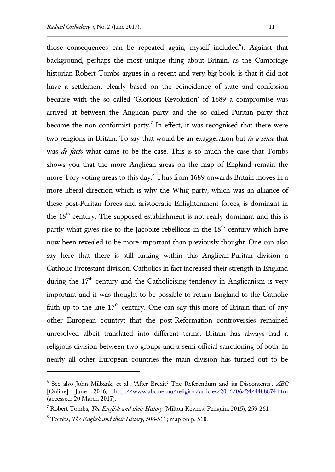those consequences can be repeated again, myself included<sup>6</sup>). Against that background, perhaps the most unique thing about Britain, as the Cambridge historian Robert Tombs argues in a recent and very big book, is that it did not have a settlement clearly based on the coincidence of state and confession because with the so called 'Glorious Revolution' of 1689 a compromise was arrived at between the Anglican party and the so called Puritan party that became the non-conformist party.<sup>7</sup> In effect, it was recognised that there were two religions in Britain. To say that would be an exaggeration but *in a sense* that was *de facto* what came to be the case. This is so much the case that Tombs shows you that the more Anglican areas on the map of England remain the more Tory voting areas to this day.<sup>8</sup> Thus from 1689 onwards Britain moves in a more liberal direction which is why the Whig party, which was an alliance of these post-Puritan forces and aristocratic Enlightenment forces, is dominant in the  $18<sup>th</sup>$  century. The supposed establishment is not really dominant and this is partly what gives rise to the Jacobite rebellions in the  $18<sup>th</sup>$  century which have now been revealed to be more important than previously thought. One can also say here that there is still lurking within this Anglican-Puritan division a Catholic-Protestant division. Catholics in fact increased their strength in England during the  $17<sup>th</sup>$  century and the Catholicising tendency in Anglicanism is very important and it was thought to be possible to return England to the Catholic faith up to the late  $17<sup>th</sup>$  century. One can say this more of Britain than of any other European country: that the post-Reformation controversies remained unresolved albeit translated into different terms. Britain has always had a religious division between two groups and a semi-official sanctioning of both. In nearly all other European countries the main division has turned out to be

<sup>6</sup> See also John Milbank, et al., 'After Brexit? The Referendum and its Discontents', *ABC* [Online] June 2016, http://www.abc.net.au/religion/articles/2016/06/24/4488874.htm (accessed: 20 March 2017).

<sup>7</sup> Robert Tombs, *The English and their History* (Milton Keynes: Penguin, 2015), 259-261

<sup>8</sup> Tombs, *The English and their History*, 508-511; map on p. 510.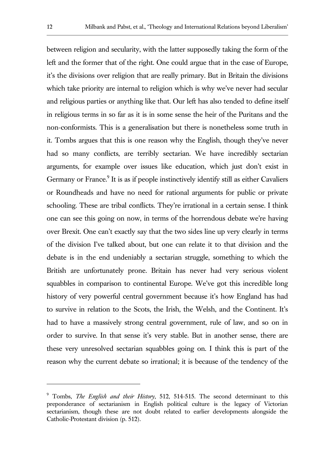between religion and secularity, with the latter supposedly taking the form of the left and the former that of the right. One could argue that in the case of Europe, it's the divisions over religion that are really primary. But in Britain the divisions which take priority are internal to religion which is why we've never had secular and religious parties or anything like that. Our left has also tended to define itself in religious terms in so far as it is in some sense the heir of the Puritans and the non-conformists. This is a generalisation but there is nonetheless some truth in it. Tombs argues that this is one reason why the English, though they've never had so many conflicts, are terribly sectarian. We have incredibly sectarian arguments, for example over issues like education, which just don't exist in Germany or France.<sup>9</sup> It is as if people instinctively identify still as either Cavaliers or Roundheads and have no need for rational arguments for public or private schooling. These are tribal conflicts. They're irrational in a certain sense. I think one can see this going on now, in terms of the horrendous debate we're having over Brexit. One can't exactly say that the two sides line up very clearly in terms of the division I've talked about, but one can relate it to that division and the debate is in the end undeniably a sectarian struggle, something to which the British are unfortunately prone. Britain has never had very serious violent squabbles in comparison to continental Europe. We've got this incredible long history of very powerful central government because it's how England has had to survive in relation to the Scots, the Irish, the Welsh, and the Continent. It's had to have a massively strong central government, rule of law, and so on in order to survive. In that sense it's very stable. But in another sense, there are these very unresolved sectarian squabbles going on. I think this is part of the reason why the current debate so irrational; it is because of the tendency of the

l

<sup>9</sup> Tombs, *The English and their History*, 512, 514-515. The second determinant to this preponderance of sectarianism in English political culture is the legacy of Victorian sectarianism, though these are not doubt related to earlier developments alongside the Catholic-Protestant division (p. 512).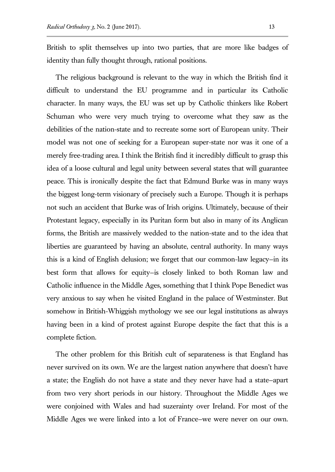British to split themselves up into two parties, that are more like badges of identity than fully thought through, rational positions.

The religious background is relevant to the way in which the British find it difficult to understand the EU programme and in particular its Catholic character. In many ways, the EU was set up by Catholic thinkers like Robert Schuman who were very much trying to overcome what they saw as the debilities of the nation-state and to recreate some sort of European unity. Their model was not one of seeking for a European super-state nor was it one of a merely free-trading area. I think the British find it incredibly difficult to grasp this idea of a loose cultural and legal unity between several states that will guarantee peace. This is ironically despite the fact that Edmund Burke was in many ways the biggest long-term visionary of precisely such a Europe. Though it is perhaps not such an accident that Burke was of Irish origins. Ultimately, because of their Protestant legacy, especially in its Puritan form but also in many of its Anglican forms, the British are massively wedded to the nation-state and to the idea that liberties are guaranteed by having an absolute, central authority. In many ways this is a kind of English delusion; we forget that our common-law legacy—in its best form that allows for equity—is closely linked to both Roman law and Catholic influence in the Middle Ages, something that I think Pope Benedict was very anxious to say when he visited England in the palace of Westminster. But somehow in British-Whiggish mythology we see our legal institutions as always having been in a kind of protest against Europe despite the fact that this is a complete fiction.

The other problem for this British cult of separateness is that England has never survived on its own. We are the largest nation anywhere that doesn't have a state; the English do not have a state and they never have had a state—apart from two very short periods in our history. Throughout the Middle Ages we were conjoined with Wales and had suzerainty over Ireland. For most of the Middle Ages we were linked into a lot of France—we were never on our own.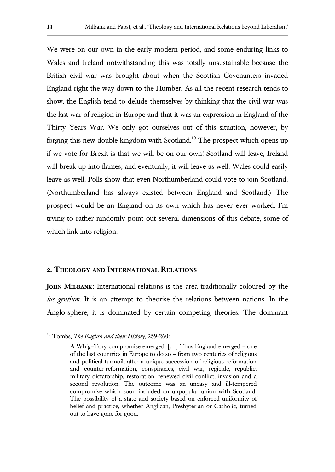We were on our own in the early modern period, and some enduring links to Wales and Ireland notwithstanding this was totally unsustainable because the British civil war was brought about when the Scottish Covenanters invaded England right the way down to the Humber. As all the recent research tends to show, the English tend to delude themselves by thinking that the civil war was the last war of religion in Europe and that it was an expression in England of the Thirty Years War. We only got ourselves out of this situation, however, by forging this new double kingdom with Scotland.<sup>10</sup> The prospect which opens up if we vote for Brexit is that we will be on our own! Scotland will leave, Ireland will break up into flames; and eventually, it will leave as well. Wales could easily leave as well. Polls show that even Northumberland could vote to join Scotland. (Northumberland has always existed between England and Scotland.) The prospect would be an England on its own which has never ever worked. I'm trying to rather randomly point out several dimensions of this debate, some of which link into religion.

#### **2. Theology and International Relations**

**JOHN MILBANK:** International relations is the area traditionally coloured by the *ius gentium*. It is an attempt to theorise the relations between nations. In the Anglo-sphere, it is dominated by certain competing theories. The dominant

<sup>10</sup> Tombs, *The English and their History*, 259-260:

A Whig–Tory compromise emerged. […] Thus England emerged – one of the last countries in Europe to do so – from two centuries of religious and political turmoil, after a unique succession of religious reformation and counter-reformation, conspiracies, civil war, regicide, republic, military dictatorship, restoration, renewed civil conflict, invasion and a second revolution. The outcome was an uneasy and ill-tempered compromise which soon included an unpopular union with Scotland. The possibility of a state and society based on enforced uniformity of belief and practice, whether Anglican, Presbyterian or Catholic, turned out to have gone for good.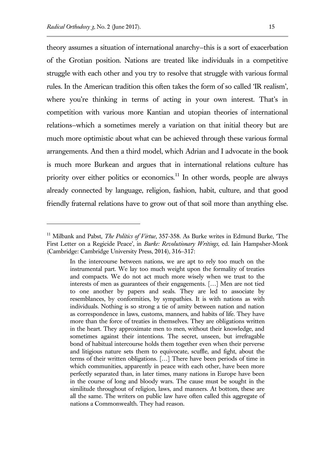$\overline{a}$ 

theory assumes a situation of international anarchy—this is a sort of exacerbation of the Grotian position. Nations are treated like individuals in a competitive struggle with each other and you try to resolve that struggle with various formal rules. In the American tradition this often takes the form of so called 'IR realism', where you're thinking in terms of acting in your own interest. That's in competition with various more Kantian and utopian theories of international relations—which a sometimes merely a variation on that initial theory but are much more optimistic about what can be achieved through these various formal arrangements. And then a third model, which Adrian and I advocate in the book is much more Burkean and argues that in international relations culture has priority over either politics or economics.<sup>11</sup> In other words, people are always already connected by language, religion, fashion, habit, culture, and that good friendly fraternal relations have to grow out of that soil more than anything else.

<sup>&</sup>lt;sup>11</sup> Milbank and Pabst, *The Politics of Virtue*, 357-358. As Burke writes in Edmund Burke, 'The First Letter on a Regicide Peace', in *Burke: Revolutionary Writings*, ed. Iain Hampsher-Monk (Cambridge: Cambridge University Press, 2014), 316–317:

In the intercourse between nations, we are apt to rely too much on the instrumental part. We lay too much weight upon the formality of treaties and compacts. We do not act much more wisely when we trust to the interests of men as guarantees of their engagements. […] Men are not tied to one another by papers and seals. They are led to associate by resemblances, by conformities, by sympathies. It is with nations as with individuals. Nothing is so strong a tie of amity between nation and nation as correspondence in laws, customs, manners, and habits of life. They have more than the force of treaties in themselves. They are obligations written in the heart. They approximate men to men, without their knowledge, and sometimes against their intentions. The secret, unseen, but irrefragable bond of habitual intercourse holds them together even when their perverse and litigious nature sets them to equivocate, scuffle, and fight, about the terms of their written obligations. […] There have been periods of time in which communities, apparently in peace with each other, have been more perfectly separated than, in later times, many nations in Europe have been in the course of long and bloody wars. The cause must be sought in the similitude throughout of religion, laws, and manners. At bottom, these are all the same. The writers on public law have often called this aggregate of nations a Commonwealth. They had reason.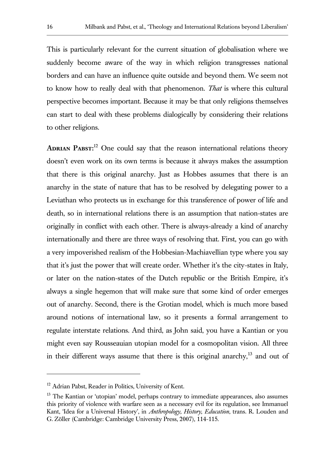This is particularly relevant for the current situation of globalisation where we suddenly become aware of the way in which religion transgresses national borders and can have an influence quite outside and beyond them. We seem not to know how to really deal with that phenomenon. *That* is where this cultural perspective becomes important. Because it may be that only religions themselves can start to deal with these problems dialogically by considering their relations to other religions.

ADRIAN PABST:<sup>12</sup> One could say that the reason international relations theory doesn't even work on its own terms is because it always makes the assumption that there is this original anarchy. Just as Hobbes assumes that there is an anarchy in the state of nature that has to be resolved by delegating power to a Leviathan who protects us in exchange for this transference of power of life and death, so in international relations there is an assumption that nation-states are originally in conflict with each other. There is always-already a kind of anarchy internationally and there are three ways of resolving that. First, you can go with a very impoverished realism of the Hobbesian-Machiavellian type where you say that it's just the power that will create order. Whether it's the city-states in Italy, or later on the nation-states of the Dutch republic or the British Empire, it's always a single hegemon that will make sure that some kind of order emerges out of anarchy. Second, there is the Grotian model, which is much more based around notions of international law, so it presents a formal arrangement to regulate interstate relations. And third, as John said, you have a Kantian or you might even say Rousseauian utopian model for a cosmopolitan vision. All three in their different ways assume that there is this original anarchy,<sup>13</sup> and out of

l

<sup>&</sup>lt;sup>12</sup> Adrian Pabst, Reader in Politics, University of Kent.

<sup>&</sup>lt;sup>13</sup> The Kantian or 'utopian' model, perhaps contrary to immediate appearances, also assumes this priority of violence with warfare seen as a necessary evil for its regulation, see Immanuel Kant, 'Idea for a Universal History', in *Anthropology, History, Education*, trans. R. Louden and G. Zöller (Cambridge: Cambridge University Press, 2007), 114-115.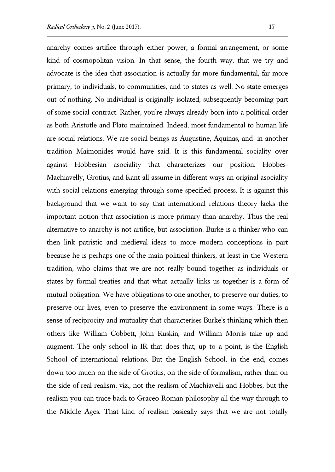anarchy comes artifice through either power, a formal arrangement, or some kind of cosmopolitan vision. In that sense, the fourth way, that we try and advocate is the idea that association is actually far more fundamental, far more primary, to individuals, to communities, and to states as well. No state emerges out of nothing. No individual is originally isolated, subsequently becoming part of some social contract. Rather, you're always already born into a political order as both Aristotle and Plato maintained. Indeed, most fundamental to human life are social relations. We are social beings as Augustine, Aquinas, and—in another tradition—Maimonides would have said. It is this fundamental sociality over against Hobbesian asociality that characterizes our position. Hobbes-Machiavelly, Grotius, and Kant all assume in different ways an original asociality with social relations emerging through some specified process. It is against this background that we want to say that international relations theory lacks the important notion that association is more primary than anarchy. Thus the real alternative to anarchy is not artifice, but association. Burke is a thinker who can then link patristic and medieval ideas to more modern conceptions in part because he is perhaps one of the main political thinkers, at least in the Western tradition, who claims that we are not really bound together as individuals or states by formal treaties and that what actually links us together is a form of mutual obligation. We have obligations to one another, to preserve our duties, to preserve our lives, even to preserve the environment in some ways. There is a sense of reciprocity and mutuality that characterises Burke's thinking which then others like William Cobbett, John Ruskin, and William Morris take up and augment. The only school in IR that does that, up to a point, is the English School of international relations. But the English School, in the end, comes down too much on the side of Grotius, on the side of formalism, rather than on the side of real realism, viz., not the realism of Machiavelli and Hobbes, but the realism you can trace back to Graceo-Roman philosophy all the way through to the Middle Ages. That kind of realism basically says that we are not totally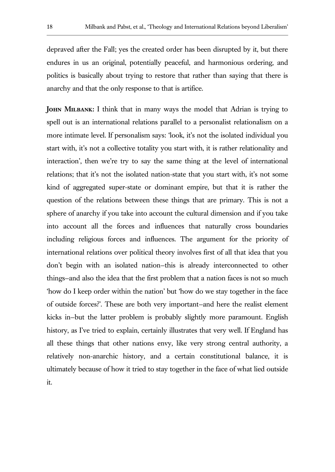depraved after the Fall; yes the created order has been disrupted by it, but there endures in us an original, potentially peaceful, and harmonious ordering, and politics is basically about trying to restore that rather than saying that there is anarchy and that the only response to that is artifice.

**JOHN MILBANK:** I think that in many ways the model that Adrian is trying to spell out is an international relations parallel to a personalist relationalism on a more intimate level. If personalism says: 'look, it's not the isolated individual you start with, it's not a collective totality you start with, it is rather relationality and interaction', then we're try to say the same thing at the level of international relations; that it's not the isolated nation-state that you start with, it's not some kind of aggregated super-state or dominant empire, but that it is rather the question of the relations between these things that are primary. This is not a sphere of anarchy if you take into account the cultural dimension and if you take into account all the forces and influences that naturally cross boundaries including religious forces and influences. The argument for the priority of international relations over political theory involves first of all that idea that you don't begin with an isolated nation—this is already interconnected to other things—and also the idea that the first problem that a nation faces is not so much 'how do I keep order within the nation' but 'how do we stay together in the face of outside forces?'. These are both very important—and here the realist element kicks in—but the latter problem is probably slightly more paramount. English history, as I've tried to explain, certainly illustrates that very well. If England has all these things that other nations envy, like very strong central authority, a relatively non-anarchic history, and a certain constitutional balance, it is ultimately because of how it tried to stay together in the face of what lied outside it.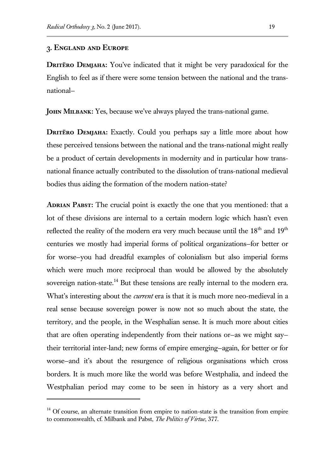### **3. England and Europe**

l

DRITERO DEMJAHA: You've indicated that it might be very paradoxical for the English to feel as if there were some tension between the national and the transnational—

**John Milbank:** Yes, because we've always played the trans-national game.

DRITERO DEMJAHA: Exactly. Could you perhaps say a little more about how these perceived tensions between the national and the trans-national might really be a product of certain developments in modernity and in particular how transnational finance actually contributed to the dissolution of trans-national medieval bodies thus aiding the formation of the modern nation-state?

ADRIAN PABST: The crucial point is exactly the one that you mentioned: that a lot of these divisions are internal to a certain modern logic which hasn't even reflected the reality of the modern era very much because until the  $18<sup>th</sup>$  and  $19<sup>th</sup>$ centuries we mostly had imperial forms of political organizations—for better or for worse—you had dreadful examples of colonialism but also imperial forms which were much more reciprocal than would be allowed by the absolutely sovereign nation-state.<sup>14</sup> But these tensions are really internal to the modern era. What's interesting about the *current* era is that it is much more neo-medieval in a real sense because sovereign power is now not so much about the state, the territory, and the people, in the Wesphalian sense. It is much more about cities that are often operating independently from their nations or—as we might say their territorial inter-land; new forms of empire emerging—again, for better or for worse—and it's about the resurgence of religious organisations which cross borders. It is much more like the world was before Westphalia, and indeed the Westphalian period may come to be seen in history as a very short and

 $14$  Of course, an alternate transition from empire to nation-state is the transition from empire to commonwealth, cf. Milbank and Pabst, *The Politics of Virtue*, 377.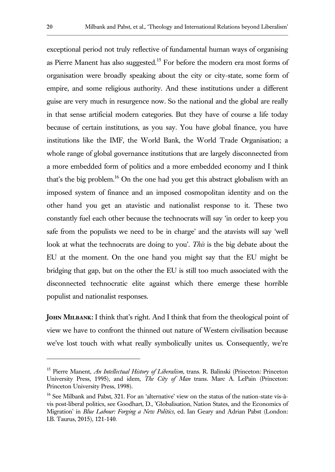exceptional period not truly reflective of fundamental human ways of organising as Pierre Manent has also suggested.<sup>15</sup> For before the modern era most forms of organisation were broadly speaking about the city or city-state, some form of empire, and some religious authority. And these institutions under a different guise are very much in resurgence now. So the national and the global are really in that sense artificial modern categories. But they have of course a life today because of certain institutions, as you say. You have global finance, you have institutions like the IMF, the World Bank, the World Trade Organisation; a whole range of global governance institutions that are largely disconnected from a more embedded form of politics and a more embedded economy and I think that's the big problem.<sup>16</sup> On the one had you get this abstract globalism with an imposed system of finance and an imposed cosmopolitan identity and on the other hand you get an atavistic and nationalist response to it. These two constantly fuel each other because the technocrats will say 'in order to keep you safe from the populists we need to be in charge' and the atavists will say 'well look at what the technocrats are doing to you'. *This* is the big debate about the EU at the moment. On the one hand you might say that the EU might be bridging that gap, but on the other the EU is still too much associated with the disconnected technocratic elite against which there emerge these horrible populist and nationalist responses.

**John Milbank:** I think that's right. And I think that from the theological point of view we have to confront the thinned out nature of Western civilisation because we've lost touch with what really symbolically unites us. Consequently, we're

l

<sup>15</sup> Pierre Manent, *An Intellectual History of Liberalism*, trans. R. Balinski (Princeton: Princeton University Press, 1995), and idem, *The City of Man* trans. Marc A. LePain (Princeton: Princeton University Press, 1998).

<sup>&</sup>lt;sup>16</sup> See Milbank and Pabst, 321. For an 'alternative' view on the status of the nation-state vis-àvis post-liberal politics, see Goodhart, D., 'Globalisation, Nation States, and the Economics of Migration' in *Blue Labour: Forging a New Politics*, ed. Ian Geary and Adrian Pabst (London: I.B. Taurus, 2015), 121-140.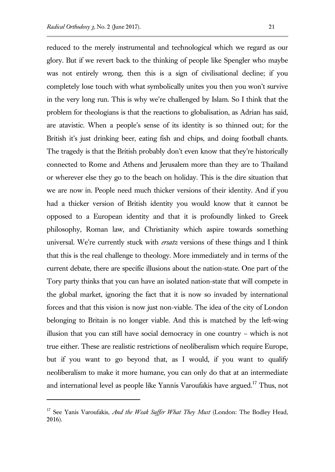$\overline{a}$ 

reduced to the merely instrumental and technological which we regard as our glory. But if we revert back to the thinking of people like Spengler who maybe was not entirely wrong, then this is a sign of civilisational decline; if you completely lose touch with what symbolically unites you then you won't survive in the very long run. This is why we're challenged by Islam. So I think that the problem for theologians is that the reactions to globalisation, as Adrian has said, are atavistic. When a people's sense of its identity is so thinned out; for the British it's just drinking beer, eating fish and chips, and doing football chants. The tragedy is that the British probably don't even know that they're historically connected to Rome and Athens and Jerusalem more than they are to Thailand or wherever else they go to the beach on holiday. This is the dire situation that we are now in. People need much thicker versions of their identity. And if you had a thicker version of British identity you would know that it cannot be opposed to a European identity and that it is profoundly linked to Greek philosophy, Roman law, and Christianity which aspire towards something universal. We're currently stuck with *ersatz* versions of these things and I think that this is the real challenge to theology. More immediately and in terms of the current debate, there are specific illusions about the nation-state. One part of the Tory party thinks that you can have an isolated nation-state that will compete in the global market, ignoring the fact that it is now so invaded by international forces and that this vision is now just non-viable. The idea of the city of London belonging to Britain is no longer viable. And this is matched by the left-wing illusion that you can still have social democracy in one country – which is not true either. These are realistic restrictions of neoliberalism which require Europe, but if you want to go beyond that, as I would, if you want to qualify neoliberalism to make it more humane, you can only do that at an intermediate and international level as people like Yannis Varoufakis have argued.<sup>17</sup> Thus, not

<sup>17</sup> See Yanis Varoufakis, *And the Weak Suffer What They Must* (London: The Bodley Head, 2016).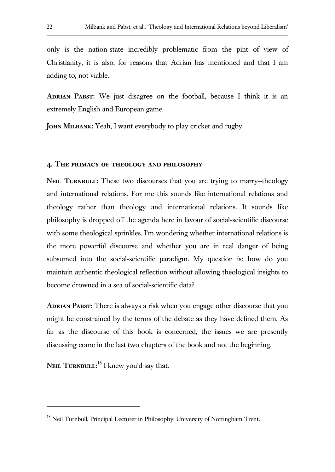only is the nation-state incredibly problematic from the pint of view of Christianity, it is also, for reasons that Adrian has mentioned and that I am adding to, not viable.

ADRIAN PABST: We just disagree on the football, because I think it is an extremely English and European game.

**John Milbank:** Yeah, I want everybody to play cricket and rugby.

#### **4. The primacy of theology and philosophy**

**NEIL TURNBULL:** These two discourses that you are trying to marry–theology and international relations. For me this sounds like international relations and theology rather than theology and international relations. It sounds like philosophy is dropped off the agenda here in favour of social-scientific discourse with some theological sprinkles. I'm wondering whether international relations is the more powerful discourse and whether you are in real danger of being subsumed into the social-scientific paradigm. My question is: how do you maintain authentic theological reflection without allowing theological insights to become drowned in a sea of social-scientific data?

**Adrian Pabst:** There is always a risk when you engage other discourse that you might be constrained by the terms of the debate as they have defined them. As far as the discourse of this book is concerned, the issues we are presently discussing come in the last two chapters of the book and not the beginning.

NEIL TURNBULL:<sup>18</sup> I knew you'd say that.

<sup>&</sup>lt;sup>18</sup> Neil Turnbull, Principal Lecturer in Philosophy, University of Nottingham Trent.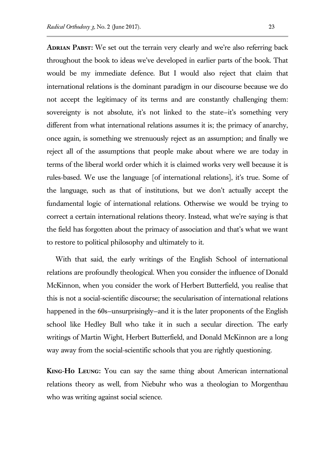ADRIAN PABST: We set out the terrain very clearly and we're also referring back throughout the book to ideas we've developed in earlier parts of the book. That would be my immediate defence. But I would also reject that claim that international relations is the dominant paradigm in our discourse because we do not accept the legitimacy of its terms and are constantly challenging them: sovereignty is not absolute, it's not linked to the state—it's something very different from what international relations assumes it is; the primacy of anarchy, once again, is something we strenuously reject as an assumption; and finally we reject all of the assumptions that people make about where we are today in terms of the liberal world order which it is claimed works very well because it is rules-based. We use the language [of international relations], it's true. Some of the language, such as that of institutions, but we don't actually accept the fundamental logic of international relations. Otherwise we would be trying to correct a certain international relations theory. Instead, what we're saying is that the field has forgotten about the primacy of association and that's what we want to restore to political philosophy and ultimately to it.

With that said, the early writings of the English School of international relations are profoundly theological. When you consider the influence of Donald McKinnon, when you consider the work of Herbert Butterfield, you realise that this is not a social-scientific discourse; the secularisation of international relations happened in the 60s–unsurprisingly–and it is the later proponents of the English school like Hedley Bull who take it in such a secular direction. The early writings of Martin Wight, Herbert Butterfield, and Donald McKinnon are a long way away from the social-scientific schools that you are rightly questioning.

**King-Ho Leung:** You can say the same thing about American international relations theory as well, from Niebuhr who was a theologian to Morgenthau who was writing against social science.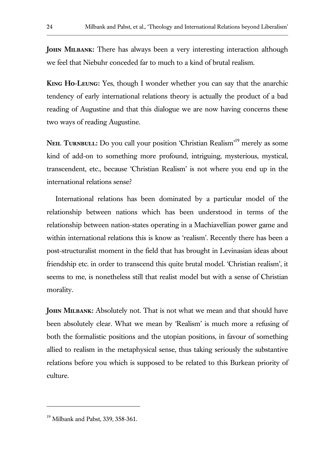**John Milbank:** There has always been a very interesting interaction although we feel that Niebuhr conceded far to much to a kind of brutal realism.

**King Ho-Leung:** Yes, though I wonder whether you can say that the anarchic tendency of early international relations theory is actually the product of a bad reading of Augustine and that this dialogue we are now having concerns these two ways of reading Augustine.

**NEIL TURNBULL:** Do you call your position 'Christian Realism'<sup>19</sup> merely as some kind of add-on to something more profound, intriguing, mysterious, mystical, transcendent, etc., because 'Christian Realism' is not where you end up in the international relations sense?

International relations has been dominated by a particular model of the relationship between nations which has been understood in terms of the relationship between nation-states operating in a Machiavellian power game and within international relations this is know as 'realism'. Recently there has been a post-structuralist moment in the field that has brought in Levinasian ideas about friendship etc. in order to transcend this quite brutal model. 'Christian realism', it seems to me, is nonetheless still that realist model but with a sense of Christian morality.

**JOHN MILBANK:** Absolutely not. That is not what we mean and that should have been absolutely clear. What we mean by 'Realism' is much more a refusing of both the formalistic positions and the utopian positions, in favour of something allied to realism in the metaphysical sense, thus taking seriously the substantive relations before you which is supposed to be related to this Burkean priority of culture.

<sup>19</sup> Milbank and Pabst, 339, 358-361.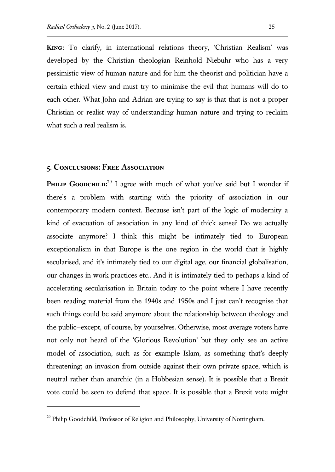**King:** To clarify, in international relations theory, 'Christian Realism' was developed by the Christian theologian Reinhold Niebuhr who has a very pessimistic view of human nature and for him the theorist and politician have a certain ethical view and must try to minimise the evil that humans will do to each other. What John and Adrian are trying to say is that that is not a proper Christian or realist way of understanding human nature and trying to reclaim what such a real realism is.

#### **5. Conclusions: Free Association**

 $\overline{a}$ 

PHILIP GOODCHILD:<sup>20</sup> I agree with much of what you've said but I wonder if there's a problem with starting with the priority of association in our contemporary modern context. Because isn't part of the logic of modernity a kind of evacuation of association in any kind of thick sense? Do we actually associate anymore? I think this might be intimately tied to European exceptionalism in that Europe is the one region in the world that is highly secularised, and it's intimately tied to our digital age, our financial globalisation, our changes in work practices etc.. And it is intimately tied to perhaps a kind of accelerating secularisation in Britain today to the point where I have recently been reading material from the 1940s and 1950s and I just can't recognise that such things could be said anymore about the relationship between theology and the public—except, of course, by yourselves. Otherwise, most average voters have not only not heard of the 'Glorious Revolution' but they only see an active model of association, such as for example Islam, as something that's deeply threatening; an invasion from outside against their own private space, which is neutral rather than anarchic (in a Hobbesian sense). It is possible that a Brexit vote could be seen to defend that space. It is possible that a Brexit vote might

<sup>&</sup>lt;sup>20</sup> Philip Goodchild, Professor of Religion and Philosophy, University of Nottingham.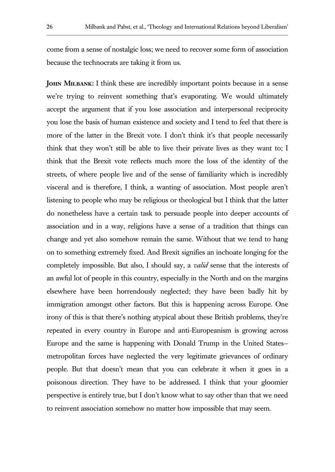come from a sense of nostalgic loss; we need to recover some form of association because the technocrats are taking it from us.

**JOHN MILBANK:** I think these are incredibly important points because in a sense we're trying to reinvent something that's evaporating. We would ultimately accept the argument that if you lose association and interpersonal reciprocity you lose the basis of human existence and society and I tend to feel that there is more of the latter in the Brexit vote. I don't think it's that people necessarily think that they won't still be able to live their private lives as they want to; I think that the Brexit vote reflects much more the loss of the identity of the streets, of where people live and of the sense of familiarity which is incredibly visceral and is therefore, I think, a wanting of association. Most people aren't listening to people who may be religious or theological but I think that the latter do nonetheless have a certain task to persuade people into deeper accounts of association and in a way, religions have a sense of a tradition that things can change and yet also somehow remain the same. Without that we tend to hang on to something extremely fixed. And Brexit signifies an inchoate longing for the completely impossible. But also, I should say, a *valid* sense that the interests of an awful lot of people in this country, especially in the North and on the margins elsewhere have been horrendously neglected; they have been badly hit by immigration amongst other factors. But this is happening across Europe. One irony of this is that there's nothing atypical about these British problems, they're repeated in every country in Europe and anti-Europeanism is growing across Europe and the same is happening with Donald Trump in the United States metropolitan forces have neglected the very legitimate grievances of ordinary people. But that doesn't mean that you can celebrate it when it goes in a poisonous direction. They have to be addressed. I think that your gloomier perspective is entirely true, but I don't know what to say other than that we need to reinvent association somehow no matter how impossible that may seem.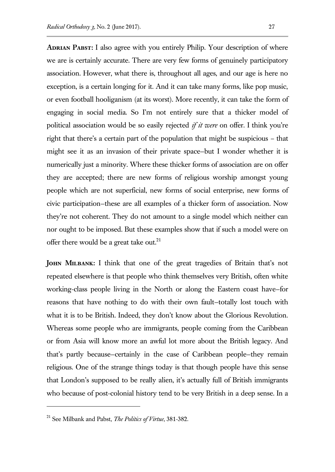ADRIAN PABST: I also agree with you entirely Philip. Your description of where we are is certainly accurate. There are very few forms of genuinely participatory association. However, what there is, throughout all ages, and our age is here no exception, is a certain longing for it. And it can take many forms, like pop music, or even football hooliganism (at its worst). More recently, it can take the form of engaging in social media. So I'm not entirely sure that a thicker model of political association would be so easily rejected *if it were* on offer. I think you're right that there's a certain part of the population that might be suspicious – that might see it as an invasion of their private space—but I wonder whether it is numerically just a minority. Where these thicker forms of association are on offer they are accepted; there are new forms of religious worship amongst young people which are not superficial, new forms of social enterprise, new forms of civic participation—these are all examples of a thicker form of association. Now they're not coherent. They do not amount to a single model which neither can nor ought to be imposed. But these examples show that if such a model were on offer there would be a great take out.<sup>21</sup>

**JOHN MILBANK:** I think that one of the great tragedies of Britain that's not repeated elsewhere is that people who think themselves very British, often white working-class people living in the North or along the Eastern coast have—for reasons that have nothing to do with their own fault—totally lost touch with what it is to be British. Indeed, they don't know about the Glorious Revolution. Whereas some people who are immigrants, people coming from the Caribbean or from Asia will know more an awful lot more about the British legacy. And that's partly because—certainly in the case of Caribbean people—they remain religious. One of the strange things today is that though people have this sense that London's supposed to be really alien, it's actually full of British immigrants who because of post-colonial history tend to be very British in a deep sense. In a

<sup>21</sup> See Milbank and Pabst, *The Politics of Virtue*, 381-382.